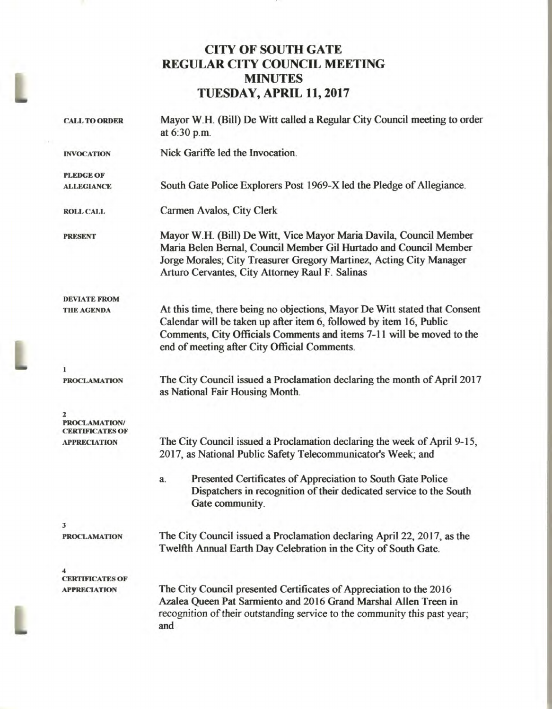# **CITY OF SOUTH GATE REGULAR CITY COUNCIL MEETING MINUTES TUESDAY, APRIL 11, 2017**

| <b>CALL TO ORDER</b>                          | Mayor W.H. (Bill) De Witt called a Regular City Council meeting to order<br>at 6:30 p.m.                                                                                                                                                                                   |
|-----------------------------------------------|----------------------------------------------------------------------------------------------------------------------------------------------------------------------------------------------------------------------------------------------------------------------------|
| <b>INVOCATION</b>                             | Nick Gariffe led the Invocation.                                                                                                                                                                                                                                           |
| <b>PLEDGE OF</b><br><b>ALLEGIANCE</b>         | South Gate Police Explorers Post 1969-X led the Pledge of Allegiance.                                                                                                                                                                                                      |
| <b>ROLL CALL</b>                              | Carmen Avalos, City Clerk                                                                                                                                                                                                                                                  |
| <b>PRESENT</b>                                | Mayor W.H. (Bill) De Witt, Vice Mayor Maria Davila, Council Member<br>Maria Belen Bernal, Council Member Gil Hurtado and Council Member<br>Jorge Morales; City Treasurer Gregory Martinez, Acting City Manager<br>Arturo Cervantes, City Attorney Raul F. Salinas          |
| <b>DEVIATE FROM</b><br><b>THE AGENDA</b>      | At this time, there being no objections, Mayor De Witt stated that Consent<br>Calendar will be taken up after item 6, followed by item 16, Public<br>Comments, City Officials Comments and items 7-11 will be moved to the<br>end of meeting after City Official Comments. |
| 1<br><b>PROCLAMATION</b>                      | The City Council issued a Proclamation declaring the month of April 2017<br>as National Fair Housing Month.                                                                                                                                                                |
| <b>PROCLAMATION/</b><br>CERTIFICATES OF       |                                                                                                                                                                                                                                                                            |
| <b>APPRECIATION</b>                           | The City Council issued a Proclamation declaring the week of April 9-15,<br>2017, as National Public Safety Telecommunicator's Week; and                                                                                                                                   |
|                                               | Presented Certificates of Appreciation to South Gate Police<br>a.<br>Dispatchers in recognition of their dedicated service to the South<br>Gate community.                                                                                                                 |
| 3                                             |                                                                                                                                                                                                                                                                            |
| <b>PROCLAMATION</b>                           | The City Council issued a Proclamation declaring April 22, 2017, as the<br>Twelfth Annual Earth Day Celebration in the City of South Gate.                                                                                                                                 |
|                                               |                                                                                                                                                                                                                                                                            |
| <b>CERTIFICATES OF</b><br><b>APPRECIATION</b> | The City Council presented Certificates of Appreciation to the 2016<br>Azalea Queen Pat Sarmiento and 2016 Grand Marshal Allen Treen in<br>recognition of their outstanding service to the community this past year;<br>and                                                |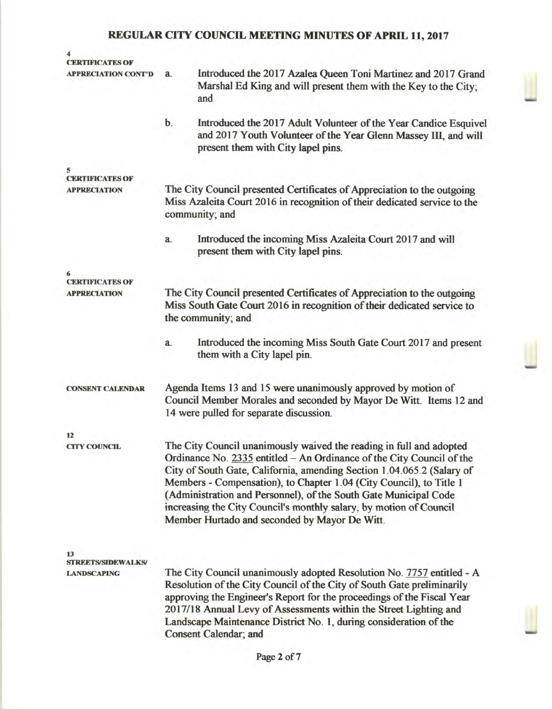| CERTIFICATES OF<br><b>APPRECIATION CONT'D</b>         | Introduced the 2017 Azalea Queen Toni Martinez and 2017 Grand<br>a.<br>Marshal Ed King and will present them with the Key to the City;<br>and                                                                                                                                                                                                                                                                                                                                            |  |
|-------------------------------------------------------|------------------------------------------------------------------------------------------------------------------------------------------------------------------------------------------------------------------------------------------------------------------------------------------------------------------------------------------------------------------------------------------------------------------------------------------------------------------------------------------|--|
|                                                       | b.<br>Introduced the 2017 Adult Volunteer of the Year Candice Esquivel<br>and 2017 Youth Volunteer of the Year Glenn Massey III, and will<br>present them with City lapel pins.                                                                                                                                                                                                                                                                                                          |  |
| 5                                                     |                                                                                                                                                                                                                                                                                                                                                                                                                                                                                          |  |
| <b>CERTIFICATES OF</b><br><b>APPRECIATION</b>         | The City Council presented Certificates of Appreciation to the outgoing<br>Miss Azaleita Court 2016 in recognition of their dedicated service to the<br>community; and                                                                                                                                                                                                                                                                                                                   |  |
|                                                       | Introduced the incoming Miss Azaleita Court 2017 and will<br>a.<br>present them with City lapel pins.                                                                                                                                                                                                                                                                                                                                                                                    |  |
|                                                       |                                                                                                                                                                                                                                                                                                                                                                                                                                                                                          |  |
| <b>CERTIFICATES OF</b><br><b>APPRECIATION</b>         | The City Council presented Certificates of Appreciation to the outgoing<br>Miss South Gate Court 2016 in recognition of their dedicated service to<br>the community; and                                                                                                                                                                                                                                                                                                                 |  |
|                                                       | Introduced the incoming Miss South Gate Court 2017 and present<br>a.<br>them with a City lapel pin.                                                                                                                                                                                                                                                                                                                                                                                      |  |
| <b>CONSENT CALENDAR</b>                               | Agenda Items 13 and 15 were unanimously approved by motion of<br>Council Member Morales and seconded by Mayor De Witt. Items 12 and<br>14 were pulled for separate discussion.                                                                                                                                                                                                                                                                                                           |  |
| 12                                                    |                                                                                                                                                                                                                                                                                                                                                                                                                                                                                          |  |
| <b>CITY COUNCIL</b>                                   | The City Council unanimously waived the reading in full and adopted<br>Ordinance No. 2335 entitled - An Ordinance of the City Council of the<br>City of South Gate, California, amending Section 1.04.065.2 (Salary of<br>Members - Compensation), to Chapter 1.04 (City Council), to Title 1<br>(Administration and Personnel), of the South Gate Municipal Code<br>increasing the City Council's monthly salary, by motion of Council<br>Member Hurtado and seconded by Mayor De Witt. |  |
| 13<br><b>STREETS/SIDEWALKS/</b><br><b>LANDSCAPING</b> | The City Council unanimously adopted Resolution No. 7757 entitled - A<br>Resolution of the City Council of the City of South Gate preliminarily                                                                                                                                                                                                                                                                                                                                          |  |
|                                                       | approving the Engineer's Report for the proceedings of the Fiscal Year<br>2017/18 Annual Levy of Assessments within the Street Lighting and<br>Landscape Maintenance District No. 1, during consideration of the<br>Consent Calendar; and                                                                                                                                                                                                                                                |  |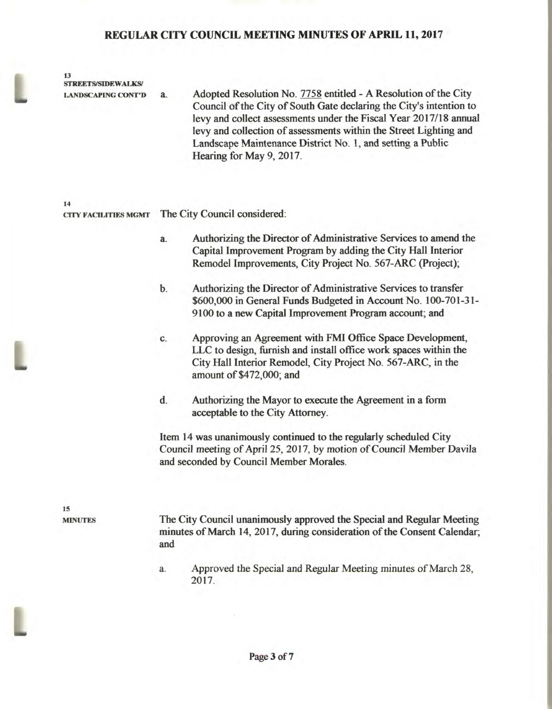**13 STREETS/SIDEWALKS/** 

**LANDSCAPING CONT'D a.** Adopted Resolution No. 7758 entitled - A Resolution of the City Council of the City of South Gate declaring the City's intention to levy and collect assessments under the Fiscal Year 2017/18 annual levy and collection of assessments within the Street Lighting and Landscape Maintenance District No. 1, and setting a Public Hearing for May 9, 2017.

**14 CITY FACILITIES MGMT** The City Council considered:

- a. Authorizing the Director of Administrative Services to amend the Capital Improvement Program by adding the City Hall Interior Remodel Improvements, City Project No. 567-ARC (Project);
- b. Authorizing the Director of Administrative Services to transfer \$600,000 in General Funds Budgeted in Account No. 100-701-31- 9100 to a new Capital Improvement Program account; and
- c. Approving an Agreement with FMI Office Space Development, LLC to design, furnish and install office work spaces within the City Hall Interior Remodel, City Project No. 567-ARC, in the amount of \$472,000; and
- d. Authorizing the Mayor to execute the Agreement in a form acceptable to the City Attorney.

Item 14 was unanimously continued to the regularly scheduled City Council meeting of April 25, 2017, by motion of Council Member Davila and seconded by Council Member Morales.

**15** 

**MINUTES** The City Council unanimously approved the Special and Regular Meeting minutes of March 14, 2017, during consideration of the Consent Calendar; and

> a. Approved the Special and Regular Meeting minutes of March 28, 2017.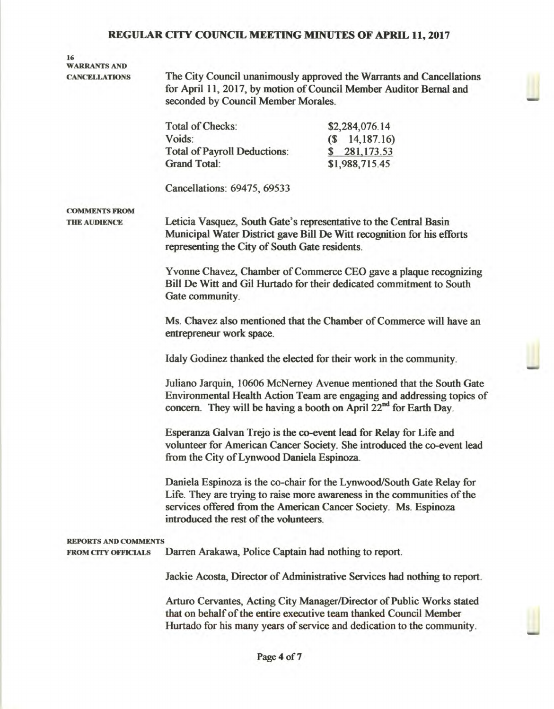# **16 WARRANTS AND**

**CANCELLATIONS The City Council unanimously approved the Warrants and Cancellations for April 11, 2017, by motion of Council Member Auditor Bernal and seconded by Council Member Morales.** 

| Total of Checks:             | \$2,284,076.14     |
|------------------------------|--------------------|
| Voids:                       | $(S \t14, 187.16)$ |
| Total of Payroll Deductions: | \$281,173.53       |
| <b>Grand Total:</b>          | \$1,988,715.45     |

**Cancellations: 69475, 69533** 

## **COMMENTS FROM**

**THE AUDIENCE Leticia Vasquez, South Gate's representative to the Central Basin Municipal Water District gave Bill De Witt recognition for his efforts representing the City of South Gate residents.** 

> **Yvonne Chavez, Chamber of Commerce CEO gave a plaque recognizing Bill De Witt and Gil Hurtado for their dedicated commitment to South Gate community.**

> **Ms. Chavez also mentioned that the Chamber of Commerce will have an entrepreneur work space.**

**Idaly Godinez thanked the elected for their work in the community.** 

**Juliano Jarquin, 10606 McNerney Avenue mentioned that the South Gate Environmental Health Action Team are engaging and addressing topics of**  concern. They will be having a booth on April 22<sup>nd</sup> for Earth Day.

**Esperanza Galvan Trejo is the co-event lead for Relay for Life and volunteer for American Cancer Society. She introduced the co-event lead from the City of Lynwood Daniela Espinoza.** 

**Daniela Espinoza is the co-chair for the Lynwood/South Gate Relay for Life. They are trying to raise more awareness in the communities of the services offered from the American Cancer Society. Ms. Espinoza introduced the rest of the volunteers.** 

#### **REPORTS AND COMMENTS**

**FROM CITY OFFICIALS Darren Arakawa, Police Captain had nothing to report.** 

**Jackie Acosta, Director of Administrative Services had nothing to report.** 

**Arturo Cervantes, Acting City Manager/Director of Public Works stated that on behalf of the entire executive team thanked Council Member Hurtado for his many years of service and dedication to the community.**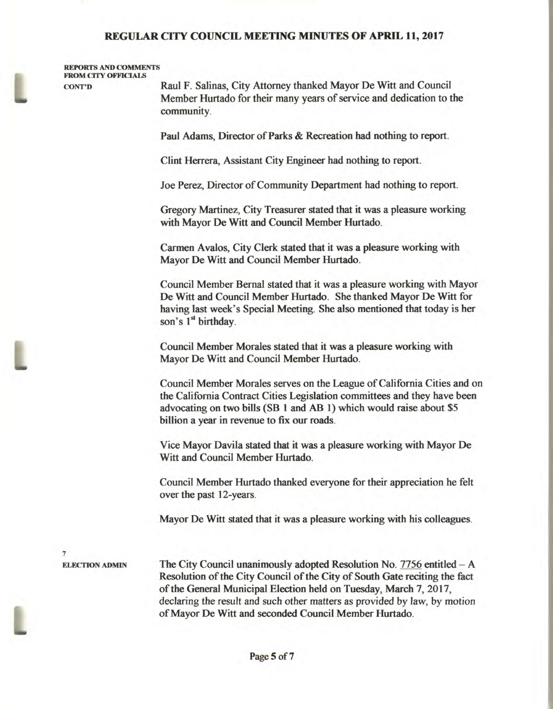#### **REPORTS AND COMMENTS FROM CITY OFFICIALS**

**CONT'D Raul F. Salinas, City Attorney thanked Mayor De Witt and Council Member Hurtado for their many years of service and dedication to the community.** 

**Paul Adams, Director of Parks & Recreation had nothing to report.** 

**Clint Herrera, Assistant City Engineer had nothing to report.** 

**Joe Perez, Director of Community Department had nothing to report.** 

**Gregory Martinez, City Treasurer stated that it was a pleasure working with Mayor De Witt and Council Member Hurtado.** 

**Carmen Avalos, City Clerk stated that it was a pleasure working with Mayor De Witt and Council Member Hurtado.** 

**Council Member Bernal stated that it was a pleasure working with Mayor De Witt and Council Member Hurtado. She thanked Mayor De Witt for having last week's Special Meeting. She also mentioned that today is her**  son's 1<sup>st</sup> birthday.

**Council Member Morales stated that it was a pleasure working with Mayor De Witt and Council Member Hurtado.** 

**Council Member Morales serves on the League of California Cities and on the California Contract Cities Legislation committees and they have been advocating on two bills (SB 1 and AB 1) which would raise about \$5 billion a year in revenue to fix our roads.** 

**Vice Mayor Davila stated that it was a pleasure working with Mayor De Witt and Council Member Hurtado.** 

**Council Member Hurtado thanked everyone for their appreciation he felt over the past 12-years.** 

**Mayor De Will stated that it was a pleasure working with his colleagues.** 

7

**ELECTION ADMIN The City Council unanimously adopted Resolution No. 7756 entitled – A Resolution of the City Council of the City of South Gate reciting the fact of the General Municipal Election held on Tuesday, March 7, 2017, declaring** the result and such other matters as provided by law, by motion of Mayor De Will and seconded Council Member Hurtado.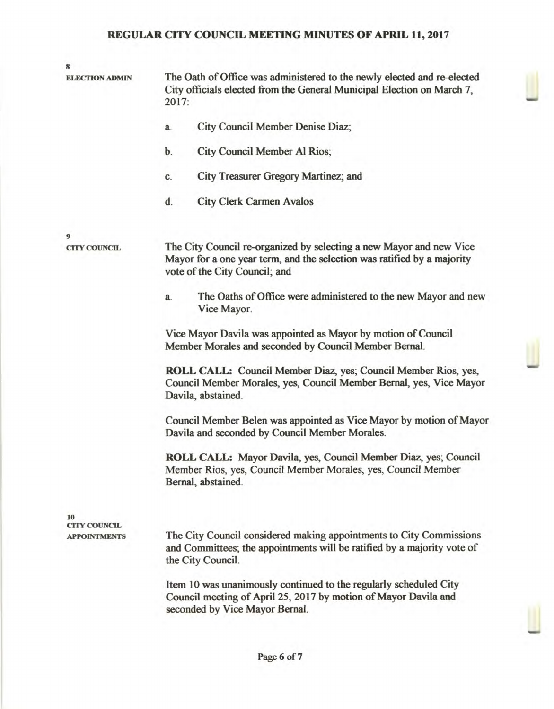| 8                         |                                                                                                                                                                                 |
|---------------------------|---------------------------------------------------------------------------------------------------------------------------------------------------------------------------------|
| <b>ELECTION ADMIN</b>     | The Oath of Office was administered to the newly elected and re-elected<br>City officials elected from the General Municipal Election on March 7,<br>2017:                      |
|                           | City Council Member Denise Diaz;<br>a.                                                                                                                                          |
|                           | City Council Member Al Rios;<br>b.                                                                                                                                              |
|                           | City Treasurer Gregory Martinez; and<br>C.                                                                                                                                      |
|                           | <b>City Clerk Carmen Avalos</b><br>d.                                                                                                                                           |
| 9<br><b>CITY COUNCIL</b>  | The City Council re-organized by selecting a new Mayor and new Vice<br>Mayor for a one year term, and the selection was ratified by a majority<br>vote of the City Council; and |
|                           | The Oaths of Office were administered to the new Mayor and new<br>a.<br>Vice Mayor.                                                                                             |
|                           | Vice Mayor Davila was appointed as Mayor by motion of Council<br>Member Morales and seconded by Council Member Bernal.                                                          |
|                           | ROLL CALL: Council Member Diaz, yes; Council Member Rios, yes,<br>Council Member Morales, yes, Council Member Bernal, yes, Vice Mayor<br>Davila, abstained.                     |
|                           | Council Member Belen was appointed as Vice Mayor by motion of Mayor<br>Davila and seconded by Council Member Morales.                                                           |
|                           | ROLL CALL: Mayor Davila, yes, Council Member Diaz, yes; Council<br>Member Rios, yes, Council Member Morales, yes, Council Member<br>Bernal, abstained.                          |
| 10<br><b>CITY COUNCIL</b> |                                                                                                                                                                                 |
| <b>APPOINTMENTS</b>       | The City Council considered making appointments to City Commissions<br>and Committees; the appointments will be ratified by a majority vote of<br>the City Council.             |
|                           | Item 10 was unanimously continued to the regularly scheduled City<br>Council meeting of April 25, 2017 by motion of Mayor Davila and<br>seconded by Vice Mayor Bernal.          |